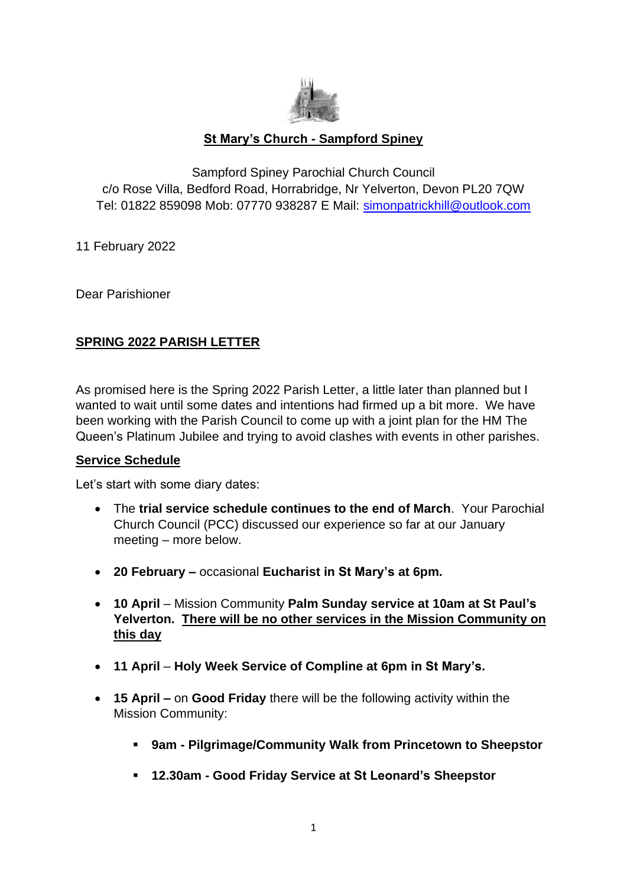

# **St Mary's Church - Sampford Spiney**

Sampford Spiney Parochial Church Council c/o Rose Villa, Bedford Road, Horrabridge, Nr Yelverton, Devon PL20 7QW Tel: 01822 859098 Mob: 07770 938287 E Mail: [simonpatrickhill@outlook.com](about:blank)

11 February 2022

Dear Parishioner

## **SPRING 2022 PARISH LETTER**

As promised here is the Spring 2022 Parish Letter, a little later than planned but I wanted to wait until some dates and intentions had firmed up a bit more. We have been working with the Parish Council to come up with a joint plan for the HM The Queen's Platinum Jubilee and trying to avoid clashes with events in other parishes.

## **Service Schedule**

Let's start with some diary dates:

- The **trial service schedule continues to the end of March**. Your Parochial Church Council (PCC) discussed our experience so far at our January meeting – more below.
- **20 February –** occasional **Eucharist in St Mary's at 6pm.**
- **10 April** Mission Community **Palm Sunday service at 10am at St Paul's Yelverton. There will be no other services in the Mission Community on this day**
- **11 April Holy Week Service of Compline at 6pm in St Mary's.**
- **15 April –** on **Good Friday** there will be the following activity within the Mission Community:
	- **9am - Pilgrimage/Community Walk from Princetown to Sheepstor**
	- **12.30am - Good Friday Service at St Leonard's Sheepstor**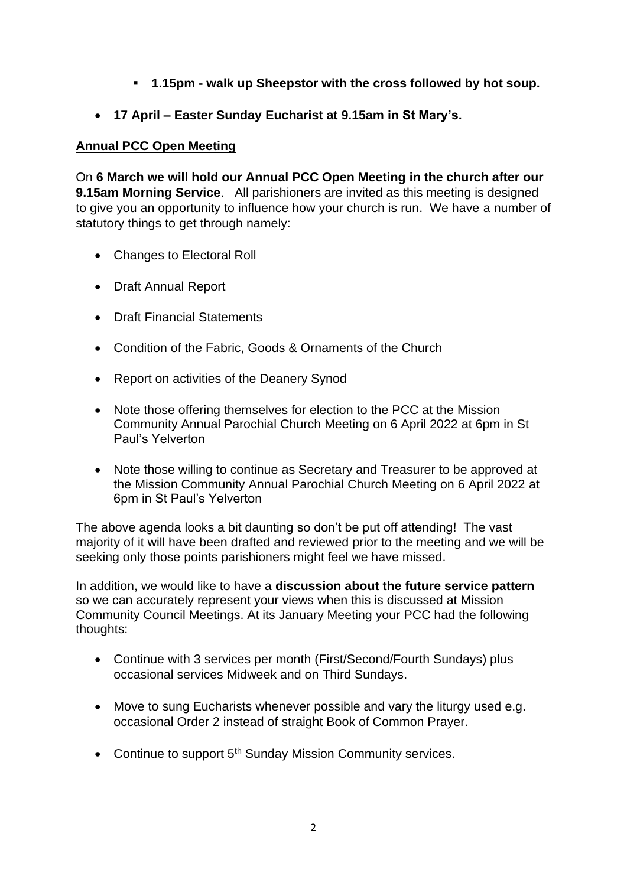- **1.15pm - walk up Sheepstor with the cross followed by hot soup.**
- **17 April – Easter Sunday Eucharist at 9.15am in St Mary's.**

# **Annual PCC Open Meeting**

On **6 March we will hold our Annual PCC Open Meeting in the church after our 9.15am Morning Service**. All parishioners are invited as this meeting is designed to give you an opportunity to influence how your church is run. We have a number of statutory things to get through namely:

- Changes to Electoral Roll
- Draft Annual Report
- Draft Financial Statements
- Condition of the Fabric, Goods & Ornaments of the Church
- Report on activities of the Deanery Synod
- Note those offering themselves for election to the PCC at the Mission Community Annual Parochial Church Meeting on 6 April 2022 at 6pm in St Paul's Yelverton
- Note those willing to continue as Secretary and Treasurer to be approved at the Mission Community Annual Parochial Church Meeting on 6 April 2022 at 6pm in St Paul's Yelverton

The above agenda looks a bit daunting so don't be put off attending! The vast majority of it will have been drafted and reviewed prior to the meeting and we will be seeking only those points parishioners might feel we have missed.

In addition, we would like to have a **discussion about the future service pattern** so we can accurately represent your views when this is discussed at Mission Community Council Meetings. At its January Meeting your PCC had the following thoughts:

- Continue with 3 services per month (First/Second/Fourth Sundays) plus occasional services Midweek and on Third Sundays.
- Move to sung Eucharists whenever possible and vary the liturgy used e.g. occasional Order 2 instead of straight Book of Common Prayer.
- Continue to support 5<sup>th</sup> Sunday Mission Community services.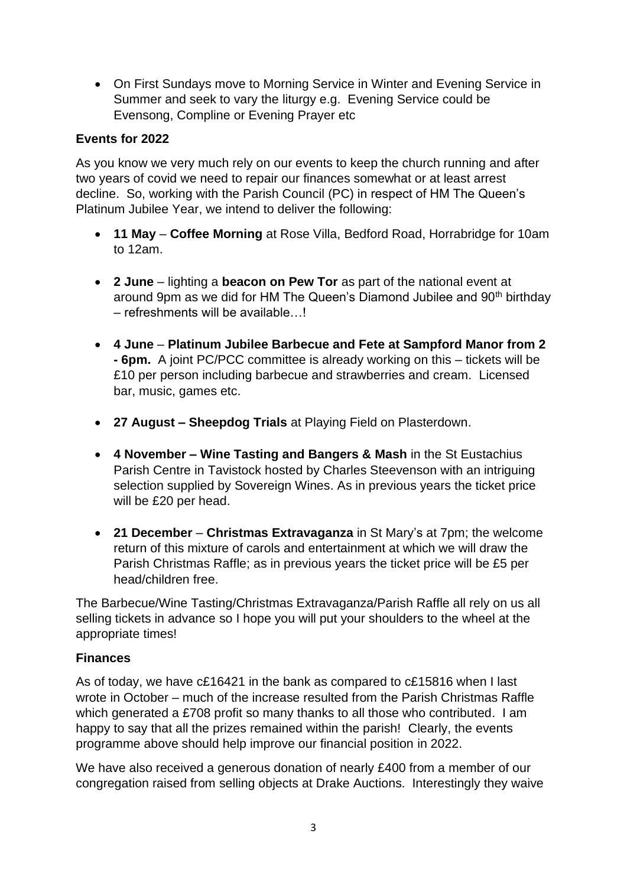• On First Sundays move to Morning Service in Winter and Evening Service in Summer and seek to vary the liturgy e.g. Evening Service could be Evensong, Compline or Evening Prayer etc

# **Events for 2022**

As you know we very much rely on our events to keep the church running and after two years of covid we need to repair our finances somewhat or at least arrest decline. So, working with the Parish Council (PC) in respect of HM The Queen's Platinum Jubilee Year, we intend to deliver the following:

- **11 May Coffee Morning** at Rose Villa, Bedford Road, Horrabridge for 10am to 12am.
- **2 June** lighting a **beacon on Pew Tor** as part of the national event at around 9pm as we did for HM The Queen's Diamond Jubilee and 90<sup>th</sup> birthday – refreshments will be available…!
- **4 June Platinum Jubilee Barbecue and Fete at Sampford Manor from 2 - 6pm.** A joint PC/PCC committee is already working on this – tickets will be £10 per person including barbecue and strawberries and cream. Licensed bar, music, games etc.
- **27 August – Sheepdog Trials** at Playing Field on Plasterdown.
- **4 November – Wine Tasting and Bangers & Mash** in the St Eustachius Parish Centre in Tavistock hosted by Charles Steevenson with an intriguing selection supplied by Sovereign Wines. As in previous years the ticket price will be £20 per head.
- **21 December Christmas Extravaganza** in St Mary's at 7pm; the welcome return of this mixture of carols and entertainment at which we will draw the Parish Christmas Raffle; as in previous years the ticket price will be £5 per head/children free.

The Barbecue/Wine Tasting/Christmas Extravaganza/Parish Raffle all rely on us all selling tickets in advance so I hope you will put your shoulders to the wheel at the appropriate times!

## **Finances**

As of today, we have c£16421 in the bank as compared to c£15816 when I last wrote in October – much of the increase resulted from the Parish Christmas Raffle which generated a £708 profit so many thanks to all those who contributed. I am happy to say that all the prizes remained within the parish! Clearly, the events programme above should help improve our financial position in 2022.

We have also received a generous donation of nearly £400 from a member of our congregation raised from selling objects at Drake Auctions. Interestingly they waive